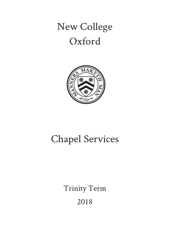# New College Oxford



# Chapel Services

Trinity Term 2018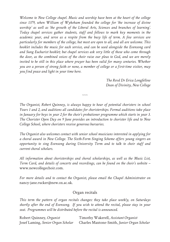*Welcome to New College chapel. Music and worship have been at the heart of the college since 1379, when William of Wykeham founded the college for 'the increase of divine worship' as well as 'the growth of the Liberal Arts, Sciences and branches of learning'. Today chapel services gather students, staff and fellows to mark key moments in the academic year, and serve as a respite from the busy life of term. A few services are particularly for members of the college, but most are open to all, and all are welcome. This booklet includes the music for each service, and can be used alongside the Evensong card and Sung Eucharist booklet; but chapel services ask very little of those who come through the door, as the combined voices of the choir raise our pleas to God, and we are merely invited to be still in this place where prayer has been valid for many centuries. Whether you are a person of strong faith or none, a member of college or a first-time visitor, may you find peace and light in your time here.*

> *The Revd Dr Erica Longfellow Dean of Divinity, New College*

*The Organist, Robert Quinney, is always happy to hear of potential choristers in school Years 1 and 2, and auditions all candidates for choristerships. Formal auditions take place in January for boys in year 2 for the choir's probationer programme which starts in year 3. The Chorister Open Day on 9 June provides an introduction to chorister life and to New College School, where choristers receive generous bursaries.*

*~~~*

*The Organist also welcomes contact with senior school musicians interested in applying for a choral award in New College. The Sixth-Form Singing Scheme offers young singers an opportunity to sing Evensong during University Term and to talk to choir staff and current choral scholars.*

*All information about choristerships and choral scholarships, as well as the Music List, Term Card, and details of concerts and recordings, can be found on the choir's website –* www.newcollegechoir.com.

*For more details and to contact the Organist, please email the Chapel Administrator on* nancy-jane.rucker@new.ox.ac.uk.

#### Organ recitals

*This term the pattern of organ recitals changes: they take place weekly, on Saturdays shortly after the end of Evensong. If you wish to attend the recital, please stay in your seat. Programmes will be distributed before the recital is announced.*

| Robert Quinney, Organist           | Timothy Wakerell, Assistant Organist        |
|------------------------------------|---------------------------------------------|
| Josef Laming, Senior Organ Scholar | Charles Maxtone-Smith, Junior Organ Scholar |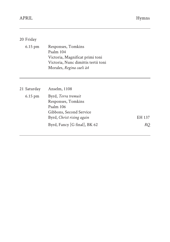# 20 Friday

| $6.15 \text{ pm}$ | Responses, Tomkins                  |
|-------------------|-------------------------------------|
|                   | Psalm 104                           |
|                   | Victoria, Magnificat primi toni     |
|                   | Victoria, Nunc dimittis tertii toni |
|                   | Morales, Regina caeli à4            |
|                   |                                     |

| 21 Saturday       | Anselm, 1108                                                                      |        |
|-------------------|-----------------------------------------------------------------------------------|--------|
| $6.15 \text{ pm}$ | Byrd, Terra tremuit<br>Responses, Tomkins<br>Psalm 106<br>Gibbons, Second Service |        |
|                   | Byrd, Christ rising again                                                         | EH 137 |
|                   | Byrd, Fancy [G final], BK 62                                                      | RO.    |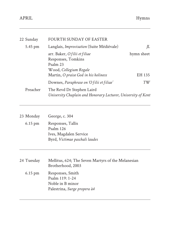| 22 Sunday | <b>FOURTH SUNDAY OF EASTER</b>                                                                                                          |              |
|-----------|-----------------------------------------------------------------------------------------------------------------------------------------|--------------|
| 5.45 pm   | Langlais, Improvisation (Suite Médiévale)                                                                                               | IL           |
|           | arr. Baker, O filii et filiae<br>Responses, Tomkins<br>Psalm 23<br>Wood, Collegium Regale                                               | hymn sheet   |
|           | Martin, O praise God in his holiness                                                                                                    | EH 135<br>TW |
| Preacher  | Downes, Paraphrase on 'O filii et filiae'<br>The Revd Dr Stephen Laird<br>University Chaplain and Honorary Lecturer, University of Kent |              |

| 23 Monday         | George, c. 304                                                                             |
|-------------------|--------------------------------------------------------------------------------------------|
| $6.15 \text{ pm}$ | Responses, Tallis<br>Psalm 126<br>Ives, Magdalen Service<br>Byrd, Victimae paschali laudes |
| 24 Tuesday        | Mellitus, 624; The Seven Martyrs of the Melanesian<br>Brotherhood, 2003                    |
| $6.15$ pm         | Responses, Smith<br>Psalm $119:1-24$<br>Noble in B minor<br>Palestrina, Surge propera à 4  |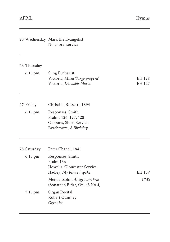|                                  | 25 Wednesday Mark the Evangelist<br>No choral service                                                          |                  |
|----------------------------------|----------------------------------------------------------------------------------------------------------------|------------------|
| 26 Thursday                      |                                                                                                                |                  |
| 6.15 pm                          | Sung Eucharist<br>Victoria, Missa 'Surge propera'<br>Victoria, Dic nobis Maria                                 | EH 128<br>EH 127 |
| 27 Friday<br>$6.15 \text{ pm}$   | Christina Rossetti, 1894<br>Responses, Smith<br>Psalms 126, 127, 128<br>Gibbons, Short Service                 |                  |
|                                  | Byrchmore, A Birthday                                                                                          |                  |
| 28 Saturday<br>$6.15 \text{ pm}$ | Peter Chanel, 1841<br>Responses, Smith<br>Psalm 136<br>Howells, Gloucester Service<br>Hadley, My beloved spake | EH 139           |
| 7.15 pm                          | Mendelssohn, Allegro con brio<br>(Sonata in B flat, Op. 65 No 4)<br>Organ Recital                              | CMS              |
|                                  | <b>Robert Quinney</b><br>Organist                                                                              |                  |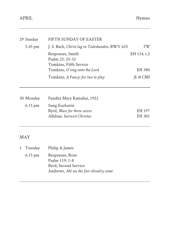| 29 Sunday | FIFTH SUNDAY OF EASTER                                             |                    |
|-----------|--------------------------------------------------------------------|--------------------|
| 5.45 pm   | J. S. Bach, Christ lag in Todesbanden, BWV 625                     | TW                 |
|           | Responses, Smith<br>Psalm $22:25-32$<br>Tomkins, Fifth Service     | EH 134, t.2        |
|           | Tomkins, O sing unto the Lord<br>Tomkins, A Fancy: for two to play | EH 380<br>IL & CMS |
|           |                                                                    |                    |

| 30 Monday         | Pandita Mary Ramabai, 1922  |        |
|-------------------|-----------------------------|--------|
| $6.15 \text{ pm}$ | Sung Eucharist              |        |
|                   | Byrd, Mass for three voices | EH 197 |
|                   | Alleluia: Surrexit Christus | EH 301 |
|                   |                             |        |

# MAY

| 1 Tuesday         | Philip & James                          |
|-------------------|-----------------------------------------|
| $6.15 \text{ pm}$ | Responses, Rose                         |
|                   | Psalm 119: 1-8                          |
|                   | Byrd, Second Service                    |
|                   | Andrews, Ah! see the fair chivalry come |
|                   |                                         |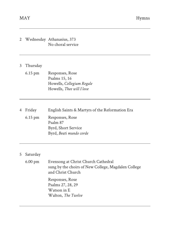# 2 Wednesday Athanasius, 373 No choral service 3 Thursday 6.15 pm Responses, Rose Psalms 15, 16 Howells, *Collegium Regale* Howells, *Thee will I love* 4 Friday English Saints & Martyrs of the Reformation Era 6.15 pm Responses, Rose Psalm 87 Byrd, Short Service Byrd, *Beati mundo corde*

### 5 Saturday

| 6.00 pm | Evensong at Christ Church Cathedral<br>sung by the choirs of New College, Magdalen College<br>and Christ Church |
|---------|-----------------------------------------------------------------------------------------------------------------|
|         | Responses, Rose<br>Psalms 27, 28, 29<br>Watson in E<br>Walton, The Twelve                                       |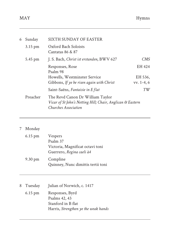| 6 | Sunday   | SIXTH SUNDAY OF EASTER                                                                                                 |              |
|---|----------|------------------------------------------------------------------------------------------------------------------------|--------------|
|   | 3.15 pm  | Oxford Bach Soloists<br>Cantatas 86 & 87                                                                               |              |
|   | 5.45 pm  | J. S. Bach, Christ ist erstanden, BWV 627                                                                              | CMS          |
|   |          | Responses, Rose<br>Psalm 98                                                                                            | EH 424       |
|   |          | Howells, Westminster Service                                                                                           | EH 536.      |
|   |          | Gibbons, If ye be risen again with Christ                                                                              | $vv. 1-4, 6$ |
|   |          | Saint-Saëns, Fantaisie in E flat                                                                                       | TW           |
|   | Preacher | The Revd Canon Dr William Taylor<br>Vicar of St John's Notting Hill; Chair, Anglican & Eastern<br>Churches Association |              |

# 7 Monday

| $6.15$ pm | <b>Vespers</b>                                                |
|-----------|---------------------------------------------------------------|
|           | Psalm 37                                                      |
|           | Victoria, Magnificat octavi toni<br>Guerrero, Regina caeli à4 |
| 9.30 pm   | Compline<br>Quinney, Nunc dimittis tertii toni                |

| 8 Tuesday         | Julian of Norwich, c. 1417           |
|-------------------|--------------------------------------|
| $6.15 \text{ pm}$ | Responses, Byrd                      |
|                   | Psalms 42, 43                        |
|                   | Stanford in B flat                   |
|                   | Harris, Strengthen ye the weak hands |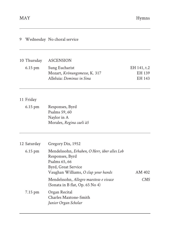| 9 |                   | Wednesday No choral service                                                                                                                    |                                 |
|---|-------------------|------------------------------------------------------------------------------------------------------------------------------------------------|---------------------------------|
|   | 10 Thursday       | <b>ASCENSION</b>                                                                                                                               |                                 |
|   | 6.15 pm           | Sung Eucharist<br>Mozart, Krönungsmesse, K. 317<br>Alleluia: Dominus in Sina                                                                   | EH 141, t.2<br>EH 139<br>EH 143 |
|   | 11 Friday         |                                                                                                                                                |                                 |
|   | $6.15 \text{ pm}$ | Responses, Byrd<br>Psalms 59, 60<br>Naylor in A<br>Morales, Regina caeli à5                                                                    |                                 |
|   | 12 Saturday       | Gregory Dix, 1952                                                                                                                              |                                 |
|   | 6.15 pm           | Mendelssohn, Erhaben, O Herr, über alles Lob<br>Responses, Byrd<br>Psalms 65, 66<br>Byrd, Great Service<br>Vaughan Williams, O clap your hands | AM 402                          |
|   |                   | Mendelssohn, Allegro maestoso e vivace<br>(Sonata in B flat, Op. 65 No 4)                                                                      | CMS                             |
|   | 7.15 pm           | Organ Recital<br>Charles Maxtone-Smith<br>Junior Organ Scholar                                                                                 |                                 |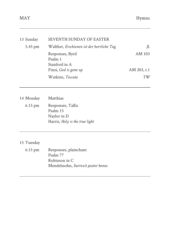| 13 Sunday | SEVENTH SUNDAY OF EASTER                    |             |
|-----------|---------------------------------------------|-------------|
| 5.45 pm   | Walther, Erschienen ist der herrliche Tag   | IL          |
|           | Responses, Byrd<br>Psalm 1<br>Stanford in A | AM 103      |
|           | Finzi, God is gone up                       | AM 203, t.1 |
|           | Watkins, Toccata                            | T W         |

14 Monday Matthias 6.15 pm Responses, Tallis Psalm 15 Naylor in D Harris, *Holy is the true light*

#### 15 Tuesday

6.15 pm Responses, plainchant Psalm 77 Robinson in C Mendelssohn, *Surrexit pastor bonus*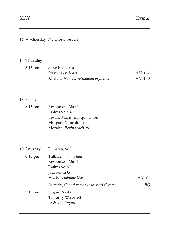|                   | 16 Wednesday No choral service                                                                                           |                  |
|-------------------|--------------------------------------------------------------------------------------------------------------------------|------------------|
| 17 Thursday       |                                                                                                                          |                  |
| $6.15$ pm         | Sung Eucharist<br>Stravinsky, Mass<br>Alleluia: Non vos relinquam orphanos                                               | AM 152<br>AM 170 |
| 18 Friday         |                                                                                                                          |                  |
| $6.15 \text{ pm}$ | Responses, Martin<br>Psalms 93, 94<br>Bevan, Magnificat quinti toni<br>Morgan, Nunc dimittis<br>Morales, Regina caeli à6 |                  |
| 19 Saturday       | Dunstan, 988                                                                                                             |                  |
| 6.15 pm           | Tallis, In manus tuas<br>Responses, Martin<br>Psalms 98, 99<br>Jackson in G<br>Walton, Jubilate Deo                      | AM 93            |
|                   | Duruflé, Choral varié sur le 'Veni Creator'                                                                              | <b>RQ</b>        |
| 7.15 pm           | Organ Recital<br>Timothy Wakerell<br>Assistant Organist                                                                  |                  |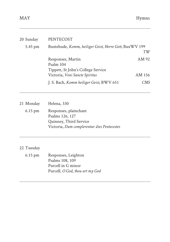| 20 Sunday | <b>PENTECOST</b>                                       |                  |
|-----------|--------------------------------------------------------|------------------|
| 5.45 pm   | Buxtehude, Komm, heiliger Geist, Herre Gott, BuxWV 199 |                  |
|           |                                                        | TW               |
|           | Responses, Martin                                      | AM 92            |
|           | Psalm 104                                              |                  |
|           | Tippett, St John's College Service                     |                  |
|           | Victoria, Veni Sancte Spiritus                         | AM 156           |
|           | J. S. Bach, Komm heiliger Geist, BWV 651               | CMS <sup>-</sup> |
|           |                                                        |                  |

21 Monday Helena, 330 6.15 pm Responses, plainchant Psalms 126, 127 Quinney, Third Service Victoria, *Dum complerentur dies Pentecostes*

#### 22 Tuesday

6.15 pm Responses, Leighton Psalms 108, 109 Purcell in G minor Purcell, *O God, thou art my God*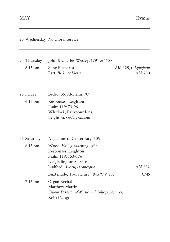|                   | 23 Wednesday No choral service                                                                                                      |                    |        |
|-------------------|-------------------------------------------------------------------------------------------------------------------------------------|--------------------|--------|
| 24 Thursday       | John & Charles Wesley, 1791 & 1788                                                                                                  |                    |        |
| 6.15 pm           | Sung Eucharist<br>Pärt, Berliner Messe                                                                                              | AM 125, t. Lyngham | AM 230 |
| 25 Friday         | Bede, 735; Aldhelm, 709                                                                                                             |                    |        |
| $6.15 \text{ pm}$ | Responses, Leighton<br>Psalm 119: 73-96<br>Whitlock, Fauxbourdons<br>Leighton, God's grandeur                                       |                    |        |
| 26 Saturday       | Augustine of Canterbury, 605                                                                                                        |                    |        |
| $6.15$ pm         | Wood, Hail, gladdening light<br>Responses, Leighton<br>Psalm 119: 153-176<br>Ives, Edington Service<br>Ludford, Ave cujus conceptio |                    | AM 532 |
| 7.15 pm           | Buxtehude, Toccata in F, BuxWV 156<br>Organ Recital<br>Matthew Martin                                                               |                    | CMS    |
|                   | Fellow, Director of Music and College Lecturer,<br>Keble College                                                                    |                    |        |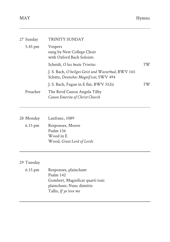| 27 Sunday | TRINITY SUNDAY                                                                              |    |
|-----------|---------------------------------------------------------------------------------------------|----|
| 5.45 pm   | Vespers<br>sung by New College Choir<br>with Oxford Bach Soloists                           |    |
|           | Scheidt, O lux beata Trinitas                                                               | TW |
|           | J. S. Bach, O heilges Geist und Wasserbad, BWV 165<br>Schütz, Deutsches Magnificat, SWV 494 |    |
|           | J. S. Bach, Fugue in E flat, BWV 552ii                                                      | ΤW |
| Preacher  | The Revd Canon Angela Tilby<br>Canon Emerita of Christ Church                               |    |

| 28 Monday | Lanfranc, 1089                                                          |
|-----------|-------------------------------------------------------------------------|
| $6.15$ pm | Responses, Moore<br>Psalm 136<br>Wood in E<br>Wood, Great Lord of Lords |
|           |                                                                         |

## 29 Tuesday

| 6.15 pm | Responses, plainchant           |
|---------|---------------------------------|
|         | Psalm 142                       |
|         | Gombert, Magnificat quarti toni |
|         | plainchant, Nunc dimittis       |
|         | Tallis, If ye love me           |
|         |                                 |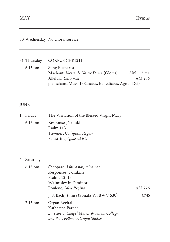### 30 Wednesday No choral service

#### 31 Thursday CORPUS CHRISTI

| $6.15 \text{ pm}$ | Sung Eucharist                                       |             |
|-------------------|------------------------------------------------------|-------------|
|                   | Machaut, Messe 'de Nostre Dame' (Gloria)             | AM 117, t.1 |
|                   | Alleluia: Caro mea                                   | AM 256      |
|                   | plainchant, Mass II (Sanctus, Benedictus, Agnus Dei) |             |

# JUNE

| 1 Friday          | The Visitation of the Blessed Virgin Mary                                                 |
|-------------------|-------------------------------------------------------------------------------------------|
| $6.15 \text{ pm}$ | Responses, Tomkins<br>Psalm 113<br>Tavener, Collegium Regale<br>Palestrina, Quae est ista |
|                   |                                                                                           |

# 2 Saturday

| $6.15$ pm         | Sheppard, Libera nos, salva nos           |        |  |
|-------------------|-------------------------------------------|--------|--|
|                   | Responses, Tomkins                        |        |  |
|                   | Psalms 12, 13                             |        |  |
|                   | Walmisley in D minor                      |        |  |
|                   | Poulenc, Salve Regina                     | AM 226 |  |
|                   | J. S. Bach, Vivace (Sonata VI, BWV 530)   | CMS    |  |
| $7.15 \text{ pm}$ | Organ Recital                             |        |  |
|                   | Katherine Pardee                          |        |  |
|                   | Director of Chapel Music, Wadham College, |        |  |
|                   | and Betts Fellow in Organ Studies         |        |  |
|                   |                                           |        |  |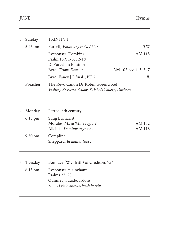| 3                                                                                                    | Sunday  | <b>TRINITY I</b>                                                                            |                                 |
|------------------------------------------------------------------------------------------------------|---------|---------------------------------------------------------------------------------------------|---------------------------------|
|                                                                                                      | 5.45 pm | Purcell, Voluntary in G, Z720                                                               | TW                              |
|                                                                                                      |         | Responses, Tomkins<br>Psalm 139: 1-5, 12-18<br>D. Purcell in E minor<br>Byrd, Tribue Domine | AM 115<br>AM 105, vv. 1-3, 5, 7 |
|                                                                                                      |         | Byrd, Fancy [C final], BK 25                                                                | IL                              |
| Preacher<br>The Revd Canon Dr Robin Greenwood<br>Visiting Research Fellow, St John's College, Durham |         |                                                                                             |                                 |

| 4 Monday          | Petroc, 6th century                                                            |                  |  |
|-------------------|--------------------------------------------------------------------------------|------------------|--|
| $6.15$ pm         | Sung Eucharist<br>Morales, Missa 'Mille regretz'<br>Alleluia: Dominus regnavit | AM 132<br>AM 118 |  |
| $9.30 \text{ pm}$ | Compline<br>Sheppard, In manus tuas I                                          |                  |  |

| 5 Tuesday | Boniface (Wynfrith) of Crediton, 754                                                                 |
|-----------|------------------------------------------------------------------------------------------------------|
| $6.15$ pm | Responses, plainchant<br>Psalms 27, 28<br>Quinney, Fauxbourdons<br>Bach, Letzte Stunde, brich herein |
|           |                                                                                                      |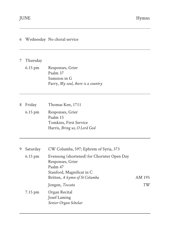| 6 |          | Wednesday No choral service                                                                                                               |        |
|---|----------|-------------------------------------------------------------------------------------------------------------------------------------------|--------|
| 7 | Thursday |                                                                                                                                           |        |
|   | 6.15 pm  | Responses, Grier<br>Psalm 37<br>Sumsion in G<br>Parry, My soul, there is a country                                                        |        |
| 8 | Friday   | Thomas Ken, 1711                                                                                                                          |        |
|   | 6.15 pm  | Responses, Grier<br>Psalm 15<br>Tomkins, First Service<br>Harris, Bring us, O Lord God                                                    |        |
| 9 | Saturday | CW Columba, 597; Ephrem of Syria, 373                                                                                                     |        |
|   | 6.15 pm  | Evensong (shortened) for Chorister Open Day<br>Responses, Grier<br>Psalm 47<br>Stanford, Magnificat in C<br>Britten, A hymn of St Columba | AM 195 |
|   |          | Jongen, Toccata                                                                                                                           | TW     |
|   | 7.15 pm  | Organ Recital<br>Josef Laming<br>Senior Organ Scholar                                                                                     |        |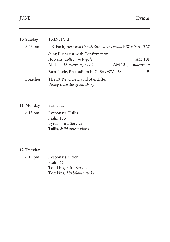| 10 Sunday | TRINITY II                                                                                  |                                |
|-----------|---------------------------------------------------------------------------------------------|--------------------------------|
| 5.45 pm   | J. S. Bach, Herr Jesu Christ, dich zu uns wend, BWV 709 TW                                  |                                |
|           | Sung Eucharist with Confirmation<br>Howells, Collegium Regale<br>Alleluia: Dominus regnavit | AM 101<br>AM 131, t. Blaenwern |
|           | Buxtehude, Praeludium in C, BuxWV 136                                                       | IL                             |
| Preacher  | The Rt Revd Dr David Stancliffe,<br><b>Bishop Emeritus of Salisbury</b>                     |                                |

11 Monday Barnabas

6.15 pm Responses, Tallis Psalm 113 Byrd, Third Service Tallis, *Mihi autem nimis*

#### 12 Tuesday

| 6.15 pm | Responses, Grier          |
|---------|---------------------------|
|         | Psalm 66                  |
|         | Tomkins, Fifth Service    |
|         | Tomkins, My beloved spake |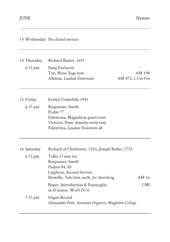| 13 Wednesday No choral service                                                                                                                                                                                                                                    |                                                      |
|-------------------------------------------------------------------------------------------------------------------------------------------------------------------------------------------------------------------------------------------------------------------|------------------------------------------------------|
| Richard Baxter, 1691<br>Sung Eucharist<br>Tye, Missa 'Euge bone'<br>Alleluia: Laudate Dominum<br>AM 472, t. Coe Fen                                                                                                                                               | AM 198                                               |
|                                                                                                                                                                                                                                                                   |                                                      |
| Evelyn Underhill, 1941<br>Responses, Smith<br>Psalm 77<br>Palestrina, Magnificat quarti toni<br>Victoria, Nunc dimittis tertii toni<br>Palestrina, Laudate Dominum à8                                                                                             |                                                      |
| Richard of Chichester, 1253; Joseph Butler, 1752<br>Tallis, O nata lux<br>Responses, Smith<br>Psalms 84, 85<br>Leighton, Second Service<br>Howells, Take him, earth, for cherishing<br>Reger, Introduction & Passacaglia<br>in D minor, WoO IV/6<br>Organ Recital | AM 16<br>CMS                                         |
|                                                                                                                                                                                                                                                                   | Alexander Pott, Assistant Organist, Magdalen College |